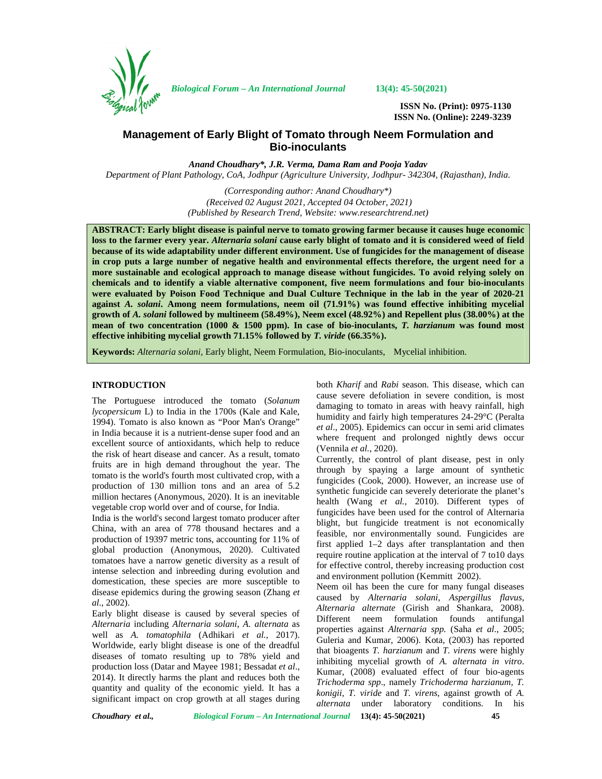

*Biological Forum – An International Journal* **13(4): 45-50(2021)**

**ISSN No. (Print): 0975-1130 ISSN No. (Online): 2249-3239**

# **Management of Early Blight of Tomato through Neem Formulation and Bio-inoculants**

*Anand Choudhary\*, J.R. Verma, Dama Ram and Pooja Yadav Department of Plant Pathology, CoA, Jodhpur (Agriculture University, Jodhpur- 342304, (Rajasthan), India.*

> *(Corresponding author: Anand Choudhary\*) (Received 02 August 2021, Accepted 04 October, 2021) (Published by Research Trend, Website: [www.researchtrend.net\)](www.researchtrend.net)*

**ABSTRACT: Early blight disease is painful nerve to tomato growing farmer because it causes huge economic loss to the farmer every year.** *Alternaria solani* **cause early blight of tomato and it is considered weed of field because of its wide adaptability under different environment. Use of fungicides for the management of disease in crop puts a large number of negative health and environmental effects therefore, the urgent need for a more sustainable and ecological approach to manage disease without fungicides. To avoid relying solely on chemicals and to identify a viable alternative component, five neem formulations and four bio-inoculants were evaluated by Poison Food Technique and Dual Culture Technique in the lab in the year of 2020-21 against** *A. solani***. Among neem formulations, neem oil (71.91%) was found effective inhibiting mycelial growth of** *A. solani* **followed by multineem (58.49%), Neem excel (48.92%) and Repellent plus (38.00%) at the mean of two concentration (1000 & 1500 ppm). In case of bio-inoculants,** *T. harzianum* **was found most effective inhibiting mycelial growth 71.15% followed by** *T. viride* **(66.35%).**

**Keywords:** *Alternaria solani,* Early blight, Neem Formulation, Bio-inoculants, Mycelial inhibition.

# **INTRODUCTION**

The Portuguese introduced the tomato (*Solanum lycopersicum* L) to India in the 1700s (Kale and Kale, 1994). Tomato is also known as "Poor Man's Orange" in India because it is a nutrient-dense super food and an excellent source of antioxidants, which help to reduce the risk of heart disease and cancer. As a result, tomato fruits are in high demand throughout the year. The tomato is the world's fourth most cultivated crop, with a production of 130 million tons and an area of 5.2 million hectares (Anonymous, 2020). It is an inevitable vegetable crop world over and of course, for India.

India is the world's second largest tomato producer after China, with an area of 778 thousand hectares and a production of 19397 metric tons, accounting for 11% of global production (Anonymous, 2020). Cultivated tomatoes have a narrow genetic diversity as a result of intense selection and inbreeding during evolution and domestication, these species are more susceptible to disease epidemics during the growing season (Zhang *et al*., 2002).

Early blight disease is caused by several species of *Alternaria* including *Alternaria solani*, *A. alternata* as well as *A. tomatophila* (Adhikari *et al.*, 2017). Worldwide, early blight disease is one of the dreadful diseases of tomato resulting up to 78% yield and production loss (Datar and Mayee 1981; Bessadat *et al*., 2014). It directly harms the plant and reduces both the quantity and quality of the economic yield. It has a significant impact on crop growth at all stages during

both *Kharif* and *Rabi* season. This disease, which can cause severe defoliation in severe condition, is most damaging to tomato in areas with heavy rainfall, high humidity and fairly high temperatures 24-29°C (Peralta *et al*., 2005). Epidemics can occur in semi arid climates where frequent and prolonged nightly dews occur (Vennila *et al.*, 2020).

Currently, the control of plant disease, pest in only through by spaying a large amount of synthetic fungicides (Cook, 2000). However, an increase use of synthetic fungicide can severely deteriorate the planet's health (Wang *et al.,* 2010). Different types of fungicides have been used for the control of Alternaria blight, but fungicide treatment is not economically feasible, nor environmentally sound. Fungicides are first applied 1–2 days after transplantation and then require routine application at the interval of 7 to10 days for effective control, thereby increasing production cost and environment pollution (Kemmitt 2002).

Neem oil has been the cure for many fungal diseases caused by *Alternaria solani*, *Aspergillus flavus, Alternaria alternate* (Girish and Shankara, 2008). Different neem formulation founds antifungal properties against *Alternaria spp.* (Saha *et al*., 2005; Guleria and Kumar, 2006). Kota, (2003) has reported that bioagents *T. harzianum* and *T. virens* were highly inhibiting mycelial growth of *A. alternata in vitro*. Kumar, (2008) evaluated effect of four bio-agents *Trichoderma spp*., namely *Trichoderma harzianum, T. konigii*, *T. viride* and *T. virens*, against growth of *A. alternata* under laboratory conditions. In his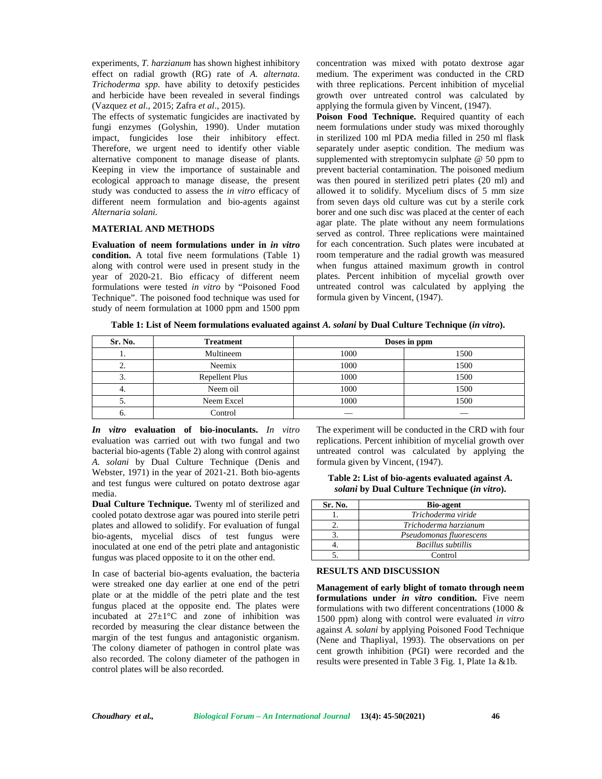experiments, *T. harzianum* has shown highest inhibitory effect on radial growth (RG) rate of *A. alternata*. *Trichoderma spp*. have ability to detoxify pesticides and herbicide have been revealed in several findings (Vazquez *et al*., 2015; Zafra *et al*., 2015).

The effects of systematic fungicides are inactivated by fungi enzymes (Golyshin, 1990). Under mutation impact, fungicides lose their inhibitory effect. Therefore, we urgent need to identify other viable alternative component to manage disease of plants. Keeping in view the importance of sustainable and ecological approach to manage disease, the present study was conducted to assess the *in vitro* efficacy of different neem formulation and bio-agents against *Alternaria solani.*

## **MATERIAL AND METHODS**

**Evaluation of neem formulations under in** *in vitro* **condition.** A total five neem formulations (Table 1) along with control were used in present study in the year of 2020-21. Bio efficacy of different neem formulations were tested *in vitro* by "Poisoned Food Technique". The poisoned food technique was used for study of neem formulation at 1000 ppm and 1500 ppm concentration was mixed with potato dextrose agar medium. The experiment was conducted in the CRD with three replications. Percent inhibition of mycelial growth over untreated control was calculated by applying the formula given by Vincent, (1947).

**Poison Food Technique.** Required quantity of each neem formulations under study was mixed thoroughly in sterilized 100 ml PDA media filled in 250 ml flask separately under aseptic condition. The medium was supplemented with streptomycin sulphate @ 50 ppm to prevent bacterial contamination. The poisoned medium was then poured in sterilized petri plates (20 ml) and allowed it to solidify. Mycelium discs of 5 mm size from seven days old culture was cut by a sterile cork borer and one such disc was placed at the center of each agar plate. The plate without any neem formulations served as control. Three replications were maintained for each concentration. Such plates were incubated at room temperature and the radial growth was measured when fungus attained maximum growth in control plates. Percent inhibition of mycelial growth over untreated control was calculated by applying the formula given by Vincent, (1947).

**Table 1: List of Neem formulations evaluated against** *A. solani* **by Dual Culture Technique (***in vitro***).**

| Sr. No.  | <b>Treatment</b> |      | Doses in ppm |
|----------|------------------|------|--------------|
|          | Multineem        | 1000 | 1500         |
| <u>.</u> | Neemix           | 1000 | 1500         |
| . ر      | Repellent Plus   | 1000 | 1500         |
|          | Neem oil         | 1000 | 1500         |
|          | Neem Excel       | 1000 | 1500         |
|          | Control          |      |              |

*In vitro* **evaluation of bio-inoculants.** *In vitro* evaluation was carried out with two fungal and two bacterial bio-agents (Table 2) along with control against *A. solani* by Dual Culture Technique (Denis and Webster, 1971) in the year of 2021-21. Both bio-agents and test fungus were cultured on potato dextrose agar media.

**Dual Culture Technique.** Twenty ml of sterilized and cooled potato dextrose agar was poured into sterile petri plates and allowed to solidify. For evaluation of fungal bio-agents, mycelial discs of test fungus were inoculated at one end of the petri plate and antagonistic fungus was placed opposite to it on the other end.

In case of bacterial bio-agents evaluation, the bacteria were streaked one day earlier at one end of the petri plate or at the middle of the petri plate and the test fungus placed at the opposite end. The plates were incubated at 27±1°C and zone of inhibition was recorded by measuring the clear distance between the margin of the test fungus and antagonistic organism. The colony diameter of pathogen in control plate was also recorded. The colony diameter of the pathogen in control plates will be also recorded.

The experiment will be conducted in the CRD with four replications. Percent inhibition of mycelial growth over untreated control was calculated by applying the formula given by Vincent, (1947).

**Table 2: List of bio-agents evaluated against** *A. solani* **by Dual Culture Technique (***in vitro***).**

| Sr. No. | <b>Bio-agent</b>          |
|---------|---------------------------|
|         | Trichoderma viride        |
|         | Trichoderma harzianum     |
|         | Pseudomonas fluorescens   |
|         | <b>Bacillus subtillis</b> |
|         | Control                   |

## **RESULTS AND DISCUSSION**

**Management of early blight of tomato through neem formulations under** *in vitro* **condition.** Five neem formulations with two different concentrations (1000 & 1500 ppm) along with control were evaluated *in vitro* against *A. solani* by applying Poisoned Food Technique (Nene and Thapliyal, 1993). The observations on per cent growth inhibition (PGI) were recorded and the results were presented in Table 3 Fig. 1, Plate 1a &1b.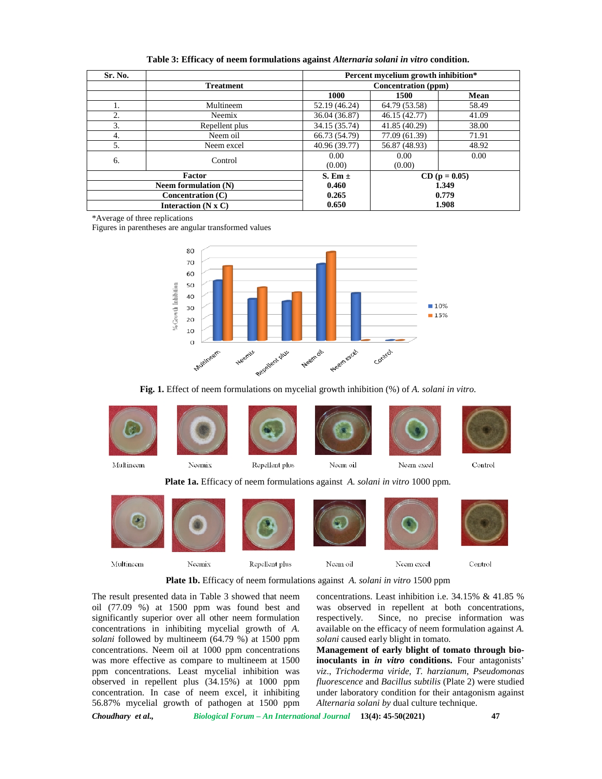| Sr. No.               |                        | Percent mycelium growth inhibition* |                 |       |
|-----------------------|------------------------|-------------------------------------|-----------------|-------|
|                       | <b>Treatment</b>       | Concentration (ppm)                 |                 |       |
|                       |                        | 1000                                | 1500            | Mean  |
| 1.                    | Multineem              | 52.19 (46.24)                       | 64.79 (53.58)   | 58.49 |
| 2.                    | Neemix                 | 36.04 (36.87)                       | 46.15 (42.77)   | 41.09 |
| 3.                    | Repellent plus         | 34.15 (35.74)                       | 41.85 (40.29)   | 38.00 |
| 4.                    | Neem oil               | 66.73 (54.79)                       | 77.09 (61.39)   | 71.91 |
| 5.                    | Neem excel             | 40.96 (39.77)                       | 56.87 (48.93)   | 48.92 |
| 6.                    | Control                | 0.00<br>(0.00)                      | 0.00<br>(0.00)  | 0.00  |
|                       | Factor                 |                                     | $CD (p = 0.05)$ |       |
|                       | Neem formulation $(N)$ |                                     | 1.349           |       |
| Concentration $(C)$   |                        | 0.265                               | 0.779           |       |
| Interaction $(N x C)$ |                        | 0.650                               | 1.908           |       |

**Table 3: Efficacy of neem formulations against** *Alternaria solani in vitro* **condition.**

\*Average of three replications

Figures in parentheses are angular transformed values



**Fig. 1.** Effect of neem formulations on mycelial growth inhibition (%) of *A. solani in vitro.*



Multineem Neemix Repellent plus Neem oil Neem exeel Control

**Plate 1b.** Efficacy of neem formulations against *A. solani in vitro* 1500 ppm

The result presented data in Table 3 showed that neem oil (77.09 %) at 1500 ppm was found best and significantly superior over all other neem formulation respectively. concentrations in inhibiting mycelial growth of *A. solani* followed by multineem (64.79 %) at 1500 ppm concentrations. Neem oil at 1000 ppm concentrations was more effective as compare to multineem at 1500 ppm concentrations. Least mycelial inhibition was observed in repellent plus (34.15%) at 1000 ppm concentration. In case of neem excel, it inhibiting 56.87% mycelial growth of pathogen at 1500 ppm

concentrations. Least inhibition i.e. 34.15% & 41.85 % was observed in repellent at both concentrations, Since, no precise information was available on the efficacy of neem formulation against *A. solani* caused early blight in tomato.

**Management of early blight of tomato through bioinoculants in** *in vitro* **conditions.** Four antagonists' *viz*., *Trichoderma viride*, *T. harzianum*, *Pseudomonas fluorescence* and *Bacillus subtilis* (Plate 2) were studied under laboratory condition for their antagonism against *Alternaria solani by* dual culture technique.

*Choudhary et al., Biological Forum – An International Journal* **13(4): 45-50(2021) 47**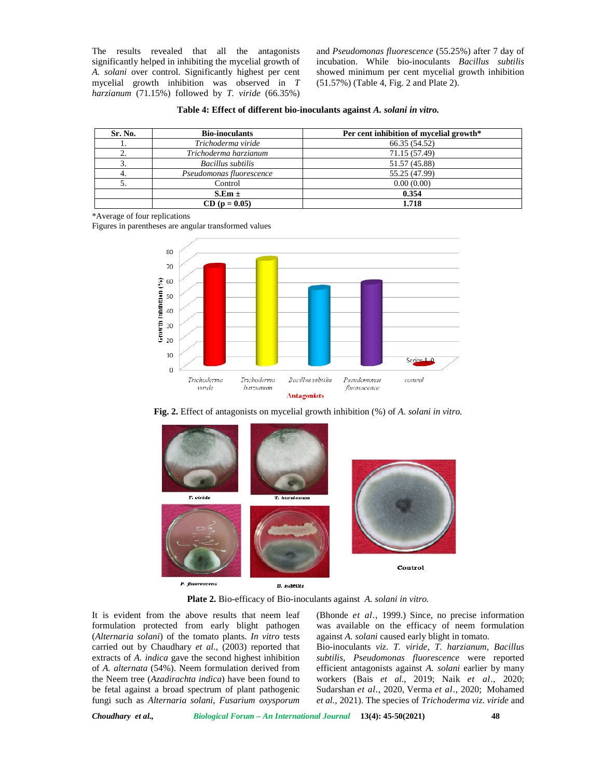The results revealed that all the antagonists significantly helped in inhibiting the mycelial growth of *A. solani* over control. Significantly highest per cent mycelial growth inhibition was observed in *T harzianum* (71.15%) followed by *T. viride* (66.35%) and *Pseudomonas fluorescence* (55.25%) after 7 day of incubation. While bio-inoculants *Bacillus subtilis* showed minimum per cent mycelial growth inhibition (51.57%) (Table 4, Fig. 2 and Plate 2).

| Sr. No. | <b>Bio-inoculants</b>    | Per cent inhibition of mycelial growth* |
|---------|--------------------------|-----------------------------------------|
|         | Trichoderma viride       | 66.35 (54.52)                           |
|         | Trichoderma harzianum    | 71.15 (57.49)                           |
|         | Bacillus subtilis        | 51.57 (45.88)                           |
| 4.      | Pseudomonas fluorescence | 55.25 (47.99)                           |
|         | Control                  | 0.00(0.00)                              |
|         | $S.Em \pm$               | 0.354                                   |
|         | $CD (p = 0.05)$          | 1.718                                   |

\*Average of four replications

Figures in parentheses are angular transformed values







**Plate 2.** Bio-efficacy of Bio-inoculants against *A. solani in vitro.*

It is evident from the above results that neem leaf formulation protected from early blight pathogen (*Alternaria solani*) of the tomato plants. *In vitro* tests carried out by Chaudhary *et al*., (2003) reported that extracts of *A. indica* gave the second highest inhibition of *A. alternata* (54%). Neem formulation derived from the Neem tree (*Azadirachta indica*) have been found to be fetal against a broad spectrum of plant pathogenic fungi such as *Alternaria solani*, *Fusarium oxysporum*

(Bhonde *et al*., 1999.) Since, no precise information was available on the efficacy of neem formulation against *A. solani* caused early blight in tomato.

Bio-inoculants *viz*. *T. viride, T. harzianum, Bacillus subtilis, Pseudomonas fluorescence* were reported efficient antagonists against *A. solani* earlier by many workers (Bais *et al*., 2019; Naik *et al*., 2020; Sudarshan *et al*., 2020, Verma *et al*., 2020; Mohamed *et al.,* 2021). The species of *Trichoderma viz*. *viride* and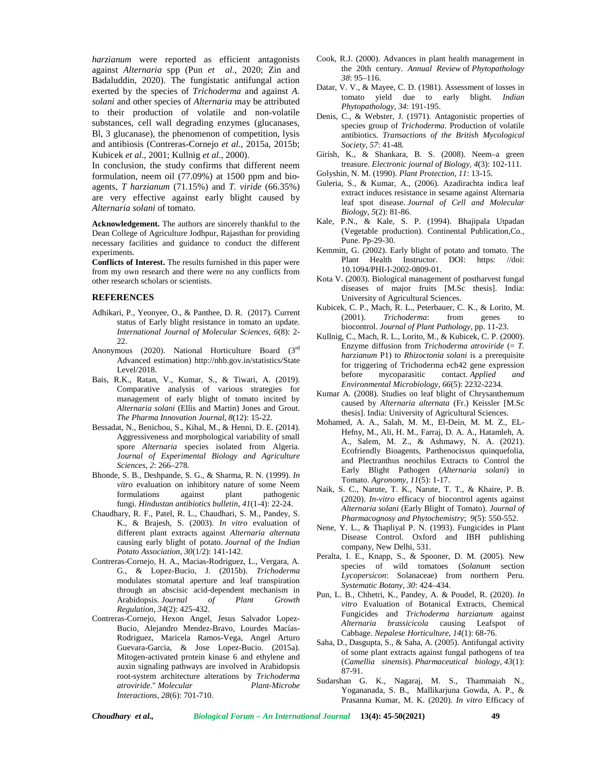*harzianum* were reported as efficient antagonists against *Alternaria* spp (Pun *et al*., 2020; Zin and Badaluddin, 2020). The fungistatic antifungal action exerted by the species of *Trichoderma* and against *A. solani* and other species of *Alternaria* may be attributed to their production of volatile and non-volatile substances, cell wall degrading enzymes (glucanases, Bl, 3 glucanase), the phenomenon of competition, lysis and antibiosis (Contreras-Cornejo *et al*., 2015a, 2015b; Kubicek *et al*., 2001; Kullnig *et al*., 2000).

In conclusion, the study confirms that different neem formulation, neem oil (77.09%) at 1500 ppm and bio agents, *T harzianum* (71.15%) and *T. viride* (66.35%) are very effective against early blight caused by *Alternaria solani* of tomato.

**Acknowledgement.** The authors are sincerely thankful to the Dean College of Agriculture Jodhpur, Rajasthan for providing necessary facilities and guidance to conduct the different experiments.

**Conflicts of Interest.** The results furnished in this paper were from my own research and there were no any conflicts from other research scholars or scientists.

## **REFERENCES**

- Adhikari, P., Yeonyee, O., & Panthee, D. R. (2017). Current status of Early blight resistance in tomato an update. *International Journal of Molecular Sciences*, *6*(8): 2-  $22.$
- Anonymous (2020). National Horticulture Board (3rd Advanced estimation) <http://nhb.gov.in/statistics/State> Level/2018.
- Bais, R.K., Ratan, V., Kumar, S., & Tiwari, A. (2019). Comparative analysis of various strategies for management of early blight of tomato incited by *Alternaria solani* (Ellis and Martin) Jones and Grout. *The Pharma Innovation Journal*, *8*(12): 15-22.
- Bessadat, N., Benichou, S., Kihal, M., & Henni, D. E. (2014). Aggressiveness and morphological variability of small spore *Alternaria* species isolated from Algeria. *Journal of Experimental Biology and Agriculture Sciences, 2*: 266–278.
- Bhonde, S. B., Deshpande, S. G., & Sharma, R. N. (1999). *In vitro* evaluation on inhibitory nature of some Neem formulations against plant pathogenic fungi. *Hindustan antibiotics bulletin*, *41*(1-4): 22-24.
- Chaudhary, R. F., Patel, R. L., Chaudhari, S. M., Pandey, S. K., & Brajesh, S. (2003). *In vitro* evaluation of different plant extracts against *Alternaria alternata* causing early blight of potato. *Journal of the Indian Potato Association*, *30*(1/2): 141-142.
- Contreras-Cornejo, H. A., Macias-Rodriguez, L., Vergara, A. G., & Lopez-Bucio, J. (2015b). *Trichoderma* modulates stomatal aperture and leaf transpiration through an abscisic acid-dependent mechanism in Arabidopsis. *Journal of Plant Growth Regulation*, *34*(2): 425-432.
- Contreras-Cornejo, Hexon Angel, Jesus Salvador Lopez- Bucio, Alejandro Mendez-Bravo, Lourdes Macías- Rodriguez, Maricela Ramos-Vega, Angel Arturo Guevara-Garcia, & Jose Lopez-Bucio. (2015a). Mitogen-activated protein kinase 6 and ethylene and auxin signaling pathways are involved in Arabidopsis root-system architecture alterations by *Trichoderma atroviride*." *Molecular Plant-Microbe Interactions, 28*(6): 701-710.
- Cook, R.J. (2000). Advances in plant health management in the 20th century. *Annual Review* of *Phytopathology 38*: 95–116.
- Datar, V. V., & Mayee, C. D. (1981). Assessment of losses in tomato yield due to early blight. *Indian Phytopathology*, *34*: 191-195.
- Denis, C., & Webster, J. (1971). Antagonistic properties of species group of *Trichoderma*. Production of volatile antibiotics. *Transactions of the British Mycological Society*, *57*: 41-48.
- Girish, K., & Shankara, B. S. (2008). Neem–a green treasure. *Electronic journal of Biology*, *4*(3): 102-111. Golyshin, N. (1990). *Plant Protection, 11*: 13-15.
- Guleria, S., & Kumar, A., (2006). Azadirachta indica leaf extract induces resistance in sesame against Alternaria leaf spot disease. *Journal of Cell and Molecular Biology*, *5*(2): 81-86.
- Kale, P.N., & Kale, S. P. (1994). Bhajipala Utpadan (Vegetable production). Continental Publication,Co., Pune. Pp-29-30.
- Kemmitt, G. (2002). Early blight of potato and tomato. The Plant Health Instructor. DOI: https: //doi: 10.1094/PHI-I-2002-0809-01.
- Kota V. (2003). Biological management of postharvest fungal diseases of major fruits [M.Sc thesis]. India: University of Agricultural Sciences.
- Kubicek, C. P., Mach, R. L., Peterbauer, C. K., & Lorito, M. (2001). *Trichoderma*: from genes to (2001). *Trichoderma*: from genes to biocontrol. *Journal of Plant Pathology*, pp. 11-23.
- Kullnig, C., Mach, R. L., Lorito, M., & Kubicek, C. P. (2000). Enzyme diffusion from *Trichoderma atroviride* (= *T. harzianum* P1) to *Rhizoctonia solani* is a prerequisite for triggering of Trichoderma ech42 gene expression before mycoparasitic contact. *Applied and Environmental Microbiology*, *66*(5): 2232-2234.
- Kumar A. (2008). Studies on leaf blight of Chrysanthemum caused by *Alternaria alternata* (Fr.) Keissler [M.Sc thesis]. India: University of Agricultural Sciences.
- Mohamed, A. A., Salah, M. M., El-Dein, M. M. Z., EL- Hefny, M., Ali, H. M., Farraj, D. A. A., Hatamleh, A. A., Salem, M. Z., & Ashmawy, N. A. (2021). Ecofriendly Bioagents, Parthenocissus quinquefolia, and Plectranthus neochilus Extracts to Control the Early Blight Pathogen (*Alternaria solani*) in Tomato. *Agronomy*, *11*(5): 1-17.
- Naik, S. C., Narute, T. K., Narute, T. T., & Khaire, P. B. (2020). *In-vitro* efficacy of biocontrol agents against *Alternaria solani* (Early Blight of Tomato). *Journal of Pharmacognosy and Phytochemistry*; *9*(5): 550-552.
- Nene, Y. L., & Thapliyal P. N. (1993). Fungicides in Plant Disease Control. Oxford and IBH publishing company, New Delhi, 531.
- Peralta, I. E., Knapp, S., & Spooner, D. M. (2005). New species of wild tomatoes (*Solanum* section *Lycopersicon*: Solanaceae) from northern Peru. *Systematic Botany*, *30*: 424–434.
- Pun, L. B., Chhetri, K., Pandey, A. & Poudel, R. (2020). *In vitro* Evaluation of Botanical Extracts, Chemical Fungicides and *Trichoderma harzianum* against *Alternaria brassicicola* causing Leafspot of Cabbage. *Nepalese Horticulture*, *14*(1): 68-76.
- Saha, D., Dasgupta, S., & Saha, A. (2005). Antifungal activity of some plant extracts against fungal pathogens of tea (*Camellia sinensis*). *Pharmaceutical biology*, *43*(1): 87-91.
- Sudarshan G. K., Nagaraj, M. S., Thammaiah N., Yogananada, S. B., Mallikarjuna Gowda, A. P., & Prasanna Kumar, M. K. (2020). *In vitro* Efficacy of

*Choudhary et al., Biological Forum – An International Journal* **13(4): 45-50(2021) 49**